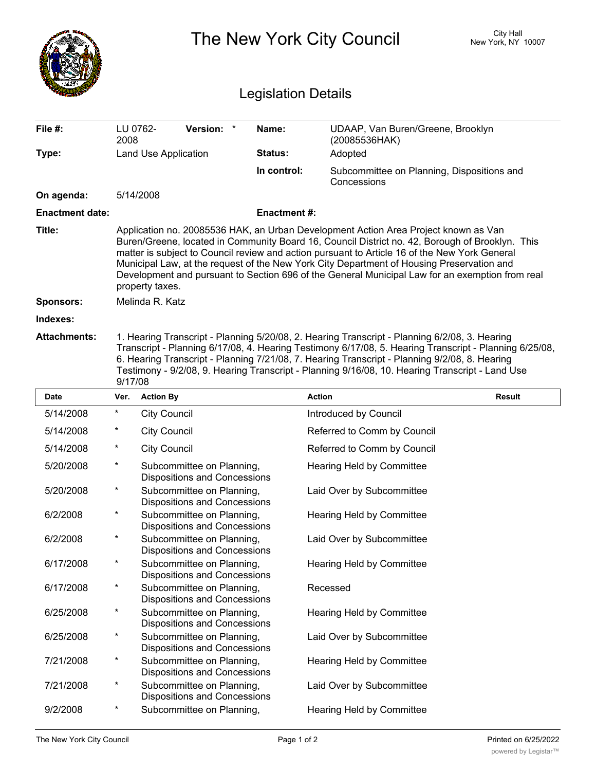|                            |                                                                                                                                                                                                                                                                                                                                                                                                                                                                                                            |                                                                  | City Hall<br>New York, NY 10007                                  |                    |                                                           |               |  |  |  |
|----------------------------|------------------------------------------------------------------------------------------------------------------------------------------------------------------------------------------------------------------------------------------------------------------------------------------------------------------------------------------------------------------------------------------------------------------------------------------------------------------------------------------------------------|------------------------------------------------------------------|------------------------------------------------------------------|--------------------|-----------------------------------------------------------|---------------|--|--|--|
| <b>Legislation Details</b> |                                                                                                                                                                                                                                                                                                                                                                                                                                                                                                            |                                                                  |                                                                  |                    |                                                           |               |  |  |  |
| File #:                    | LU 0762-<br>2008                                                                                                                                                                                                                                                                                                                                                                                                                                                                                           |                                                                  | Version: *                                                       | Name:              | UDAAP, Van Buren/Greene, Brooklyn<br>(20085536HAK)        |               |  |  |  |
| Type:                      |                                                                                                                                                                                                                                                                                                                                                                                                                                                                                                            | Land Use Application                                             |                                                                  | Status:            | Adopted                                                   |               |  |  |  |
|                            |                                                                                                                                                                                                                                                                                                                                                                                                                                                                                                            |                                                                  |                                                                  | In control:        | Subcommittee on Planning, Dispositions and<br>Concessions |               |  |  |  |
| On agenda:                 |                                                                                                                                                                                                                                                                                                                                                                                                                                                                                                            | 5/14/2008                                                        |                                                                  |                    |                                                           |               |  |  |  |
| <b>Enactment date:</b>     |                                                                                                                                                                                                                                                                                                                                                                                                                                                                                                            |                                                                  |                                                                  | <b>Enactment#:</b> |                                                           |               |  |  |  |
| Title:                     | Application no. 20085536 HAK, an Urban Development Action Area Project known as Van<br>Buren/Greene, located in Community Board 16, Council District no. 42, Borough of Brooklyn. This<br>matter is subject to Council review and action pursuant to Article 16 of the New York General<br>Municipal Law, at the request of the New York City Department of Housing Preservation and<br>Development and pursuant to Section 696 of the General Municipal Law for an exemption from real<br>property taxes. |                                                                  |                                                                  |                    |                                                           |               |  |  |  |
| <b>Sponsors:</b>           |                                                                                                                                                                                                                                                                                                                                                                                                                                                                                                            | Melinda R. Katz                                                  |                                                                  |                    |                                                           |               |  |  |  |
| Indexes:                   |                                                                                                                                                                                                                                                                                                                                                                                                                                                                                                            |                                                                  |                                                                  |                    |                                                           |               |  |  |  |
| <b>Attachments:</b>        | 1. Hearing Transcript - Planning 5/20/08, 2. Hearing Transcript - Planning 6/2/08, 3. Hearing<br>Transcript - Planning 6/17/08, 4. Hearing Testimony 6/17/08, 5. Hearing Transcript - Planning 6/25/08,<br>6. Hearing Transcript - Planning 7/21/08, 7. Hearing Transcript - Planning 9/2/08, 8. Hearing<br>Testimony - 9/2/08, 9. Hearing Transcript - Planning 9/16/08, 10. Hearing Transcript - Land Use<br>9/17/08                                                                                     |                                                                  |                                                                  |                    |                                                           |               |  |  |  |
| Date                       | Ver.                                                                                                                                                                                                                                                                                                                                                                                                                                                                                                       | <b>Action By</b>                                                 |                                                                  |                    | <b>Action</b>                                             | <b>Result</b> |  |  |  |
| 5/14/2008                  | *                                                                                                                                                                                                                                                                                                                                                                                                                                                                                                          | <b>City Council</b>                                              |                                                                  |                    | Introduced by Council                                     |               |  |  |  |
| 5/14/2008                  |                                                                                                                                                                                                                                                                                                                                                                                                                                                                                                            | <b>City Council</b>                                              |                                                                  |                    | Referred to Comm by Council                               |               |  |  |  |
| 5/14/2008                  |                                                                                                                                                                                                                                                                                                                                                                                                                                                                                                            | <b>City Council</b>                                              |                                                                  |                    | Referred to Comm by Council                               |               |  |  |  |
| 5/20/2008                  |                                                                                                                                                                                                                                                                                                                                                                                                                                                                                                            | Subcommittee on Planning,<br><b>Dispositions and Concessions</b> |                                                                  |                    | Hearing Held by Committee                                 |               |  |  |  |
| 5/20/2008                  | *                                                                                                                                                                                                                                                                                                                                                                                                                                                                                                          | Subcommittee on Planning,<br><b>Dispositions and Concessions</b> |                                                                  |                    | Laid Over by Subcommittee                                 |               |  |  |  |
| 6/2/2008                   | $\star$                                                                                                                                                                                                                                                                                                                                                                                                                                                                                                    | Subcommittee on Planning,<br><b>Dispositions and Concessions</b> |                                                                  |                    | Hearing Held by Committee                                 |               |  |  |  |
| 6/2/2008                   | $^\star$                                                                                                                                                                                                                                                                                                                                                                                                                                                                                                   |                                                                  | Subcommittee on Planning,<br><b>Dispositions and Concessions</b> |                    | Laid Over by Subcommittee                                 |               |  |  |  |
| 6/17/2008                  | $\star$                                                                                                                                                                                                                                                                                                                                                                                                                                                                                                    |                                                                  | Subcommittee on Planning,<br><b>Dispositions and Concessions</b> |                    | Hearing Held by Committee                                 |               |  |  |  |
| 6/17/2008                  | *                                                                                                                                                                                                                                                                                                                                                                                                                                                                                                          |                                                                  | Subcommittee on Planning,<br><b>Dispositions and Concessions</b> |                    | Recessed                                                  |               |  |  |  |
| 6/25/2008                  | *                                                                                                                                                                                                                                                                                                                                                                                                                                                                                                          |                                                                  | Subcommittee on Planning,<br><b>Dispositions and Concessions</b> |                    | Hearing Held by Committee                                 |               |  |  |  |
| 6/25/2008                  | *                                                                                                                                                                                                                                                                                                                                                                                                                                                                                                          |                                                                  | Subcommittee on Planning,<br><b>Dispositions and Concessions</b> |                    | Laid Over by Subcommittee                                 |               |  |  |  |
| 7/21/2008                  | $\star$                                                                                                                                                                                                                                                                                                                                                                                                                                                                                                    |                                                                  | Subcommittee on Planning,<br><b>Dispositions and Concessions</b> |                    | Hearing Held by Committee                                 |               |  |  |  |
| 7/21/2008                  | $\star$                                                                                                                                                                                                                                                                                                                                                                                                                                                                                                    | Subcommittee on Planning,<br><b>Dispositions and Concessions</b> |                                                                  |                    | Laid Over by Subcommittee                                 |               |  |  |  |
| 9/2/2008                   | *                                                                                                                                                                                                                                                                                                                                                                                                                                                                                                          |                                                                  | Subcommittee on Planning,                                        |                    | Hearing Held by Committee                                 |               |  |  |  |